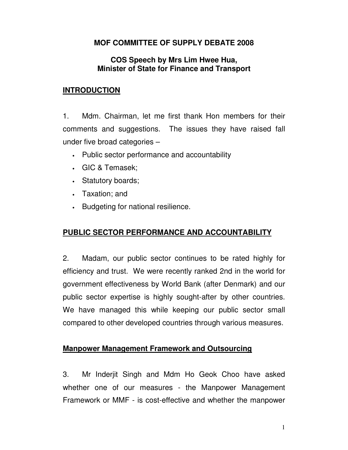# **MOF COMMITTEE OF SUPPLY DEBATE 2008**

### **COS Speech by Mrs Lim Hwee Hua, Minister of State for Finance and Transport**

## **INTRODUCTION**

1. Mdm. Chairman, let me first thank Hon members for their comments and suggestions. The issues they have raised fall under five broad categories –

- Public sector performance and accountability
- GIC & Temasek;
- Statutory boards;
- Taxation; and
- Budgeting for national resilience.

# **PUBLIC SECTOR PERFORMANCE AND ACCOUNTABILITY**

2. Madam, our public sector continues to be rated highly for efficiency and trust. We were recently ranked 2nd in the world for government effectiveness by World Bank (after Denmark) and our public sector expertise is highly sought-after by other countries. We have managed this while keeping our public sector small compared to other developed countries through various measures.

### **Manpower Management Framework and Outsourcing**

3. Mr Inderjit Singh and Mdm Ho Geok Choo have asked whether one of our measures - the Manpower Management Framework or MMF - is cost-effective and whether the manpower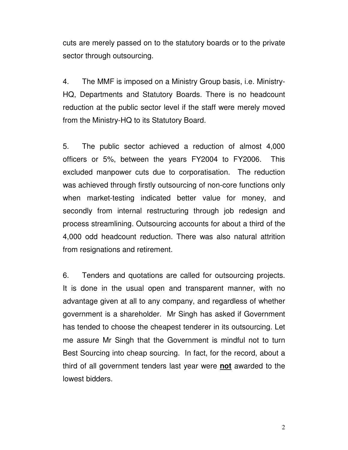cuts are merely passed on to the statutory boards or to the private sector through outsourcing.

4. The MMF is imposed on a Ministry Group basis, i.e. Ministry-HQ, Departments and Statutory Boards. There is no headcount reduction at the public sector level if the staff were merely moved from the Ministry-HQ to its Statutory Board.

5. The public sector achieved a reduction of almost 4,000 officers or 5%, between the years FY2004 to FY2006. This excluded manpower cuts due to corporatisation. The reduction was achieved through firstly outsourcing of non-core functions only when market-testing indicated better value for money, and secondly from internal restructuring through job redesign and process streamlining. Outsourcing accounts for about a third of the 4,000 odd headcount reduction. There was also natural attrition from resignations and retirement.

6. Tenders and quotations are called for outsourcing projects. It is done in the usual open and transparent manner, with no advantage given at all to any company, and regardless of whether government is a shareholder. Mr Singh has asked if Government has tended to choose the cheapest tenderer in its outsourcing. Let me assure Mr Singh that the Government is mindful not to turn Best Sourcing into cheap sourcing. In fact, for the record, about a third of all government tenders last year were **not** awarded to the lowest bidders.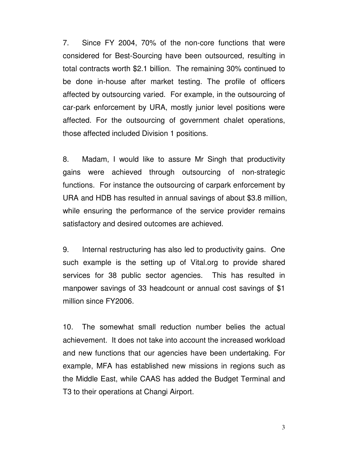7. Since FY 2004, 70% of the non-core functions that were considered for Best-Sourcing have been outsourced, resulting in total contracts worth \$2.1 billion. The remaining 30% continued to be done in-house after market testing. The profile of officers affected by outsourcing varied. For example, in the outsourcing of car-park enforcement by URA, mostly junior level positions were affected. For the outsourcing of government chalet operations, those affected included Division 1 positions.

8. Madam, I would like to assure Mr Singh that productivity gains were achieved through outsourcing of non-strategic functions. For instance the outsourcing of carpark enforcement by URA and HDB has resulted in annual savings of about \$3.8 million, while ensuring the performance of the service provider remains satisfactory and desired outcomes are achieved.

9. Internal restructuring has also led to productivity gains. One such example is the setting up of Vital.org to provide shared services for 38 public sector agencies. This has resulted in manpower savings of 33 headcount or annual cost savings of \$1 million since FY2006.

10. The somewhat small reduction number belies the actual achievement. It does not take into account the increased workload and new functions that our agencies have been undertaking. For example, MFA has established new missions in regions such as the Middle East, while CAAS has added the Budget Terminal and T3 to their operations at Changi Airport.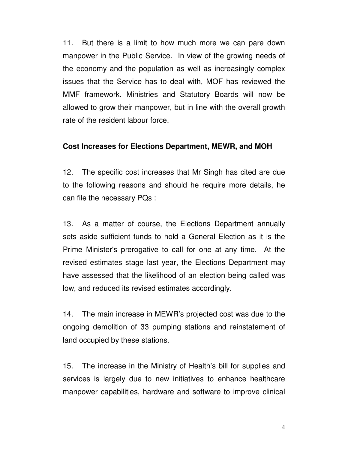11. But there is a limit to how much more we can pare down manpower in the Public Service. In view of the growing needs of the economy and the population as well as increasingly complex issues that the Service has to deal with, MOF has reviewed the MMF framework. Ministries and Statutory Boards will now be allowed to grow their manpower, but in line with the overall growth rate of the resident labour force.

#### **Cost Increases for Elections Department, MEWR, and MOH**

12. The specific cost increases that Mr Singh has cited are due to the following reasons and should he require more details, he can file the necessary PQs :

13. As a matter of course, the Elections Department annually sets aside sufficient funds to hold a General Election as it is the Prime Minister's prerogative to call for one at any time. At the revised estimates stage last year, the Elections Department may have assessed that the likelihood of an election being called was low, and reduced its revised estimates accordingly.

14. The main increase in MEWR's projected cost was due to the ongoing demolition of 33 pumping stations and reinstatement of land occupied by these stations.

15. The increase in the Ministry of Health's bill for supplies and services is largely due to new initiatives to enhance healthcare manpower capabilities, hardware and software to improve clinical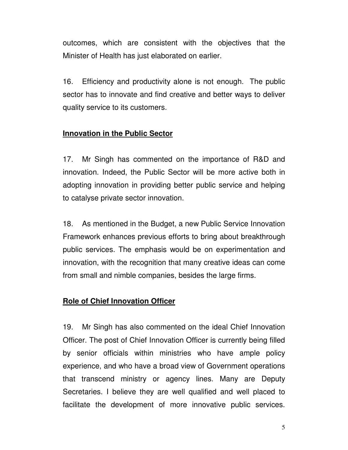outcomes, which are consistent with the objectives that the Minister of Health has just elaborated on earlier.

16. Efficiency and productivity alone is not enough. The public sector has to innovate and find creative and better ways to deliver quality service to its customers.

### **Innovation in the Public Sector**

17. Mr Singh has commented on the importance of R&D and innovation. Indeed, the Public Sector will be more active both in adopting innovation in providing better public service and helping to catalyse private sector innovation.

18. As mentioned in the Budget, a new Public Service Innovation Framework enhances previous efforts to bring about breakthrough public services. The emphasis would be on experimentation and innovation, with the recognition that many creative ideas can come from small and nimble companies, besides the large firms.

# **Role of Chief Innovation Officer**

19. Mr Singh has also commented on the ideal Chief Innovation Officer. The post of Chief Innovation Officer is currently being filled by senior officials within ministries who have ample policy experience, and who have a broad view of Government operations that transcend ministry or agency lines. Many are Deputy Secretaries. I believe they are well qualified and well placed to facilitate the development of more innovative public services.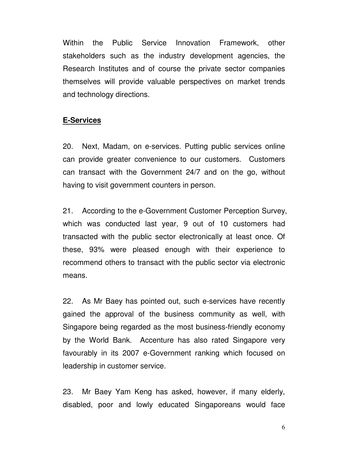Within the Public Service Innovation Framework, other stakeholders such as the industry development agencies, the Research Institutes and of course the private sector companies themselves will provide valuable perspectives on market trends and technology directions.

#### **E-Services**

20. Next, Madam, on e-services. Putting public services online can provide greater convenience to our customers. Customers can transact with the Government 24/7 and on the go, without having to visit government counters in person.

21. According to the e-Government Customer Perception Survey, which was conducted last year, 9 out of 10 customers had transacted with the public sector electronically at least once. Of these, 93% were pleased enough with their experience to recommend others to transact with the public sector via electronic means.

22. As Mr Baey has pointed out, such e-services have recently gained the approval of the business community as well, with Singapore being regarded as the most business-friendly economy by the World Bank. Accenture has also rated Singapore very favourably in its 2007 e-Government ranking which focused on leadership in customer service.

23. Mr Baey Yam Keng has asked, however, if many elderly, disabled, poor and lowly educated Singaporeans would face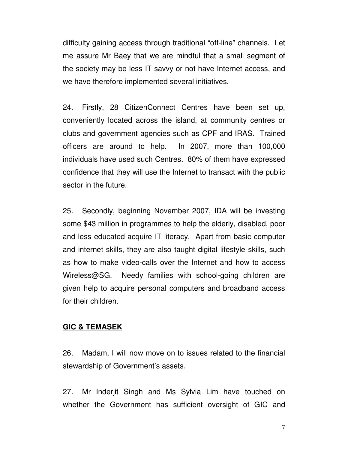difficulty gaining access through traditional "off-line" channels. Let me assure Mr Baey that we are mindful that a small segment of the society may be less IT-savvy or not have Internet access, and we have therefore implemented several initiatives.

24. Firstly, 28 CitizenConnect Centres have been set up, conveniently located across the island, at community centres or clubs and government agencies such as CPF and IRAS. Trained officers are around to help. In 2007, more than 100,000 individuals have used such Centres. 80% of them have expressed confidence that they will use the Internet to transact with the public sector in the future.

25. Secondly, beginning November 2007, IDA will be investing some \$43 million in programmes to help the elderly, disabled, poor and less educated acquire IT literacy. Apart from basic computer and internet skills, they are also taught digital lifestyle skills, such as how to make video-calls over the Internet and how to access Wireless@SG. Needy families with school-going children are given help to acquire personal computers and broadband access for their children.

#### **GIC & TEMASEK**

26. Madam, I will now move on to issues related to the financial stewardship of Government's assets.

27. Mr Inderjit Singh and Ms Sylvia Lim have touched on whether the Government has sufficient oversight of GIC and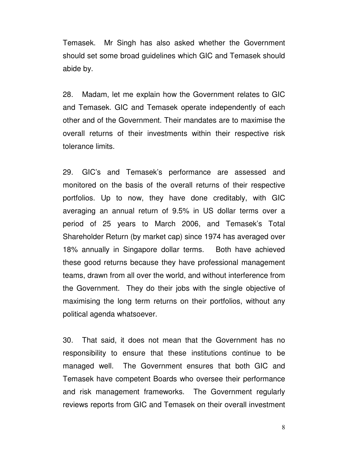Temasek. Mr Singh has also asked whether the Government should set some broad guidelines which GIC and Temasek should abide by.

28. Madam, let me explain how the Government relates to GIC and Temasek. GIC and Temasek operate independently of each other and of the Government. Their mandates are to maximise the overall returns of their investments within their respective risk tolerance limits.

29. GIC's and Temasek's performance are assessed and monitored on the basis of the overall returns of their respective portfolios. Up to now, they have done creditably, with GIC averaging an annual return of 9.5% in US dollar terms over a period of 25 years to March 2006, and Temasek's Total Shareholder Return (by market cap) since 1974 has averaged over 18% annually in Singapore dollar terms. Both have achieved these good returns because they have professional management teams, drawn from all over the world, and without interference from the Government. They do their jobs with the single objective of maximising the long term returns on their portfolios, without any political agenda whatsoever.

30. That said, it does not mean that the Government has no responsibility to ensure that these institutions continue to be managed well. The Government ensures that both GIC and Temasek have competent Boards who oversee their performance and risk management frameworks. The Government regularly reviews reports from GIC and Temasek on their overall investment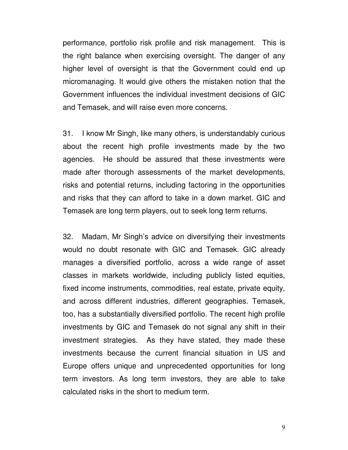performance, portfolio risk profile and risk management. This is the right balance when exercising oversight. The danger of any higher level of oversight is that the Government could end up micromanaging. It would give others the mistaken notion that the Government influences the individual investment decisions of GIC and Temasek, and will raise even more concerns.

31. I know Mr Singh, like many others, is understandably curious about the recent high profile investments made by the two agencies. He should be assured that these investments were made after thorough assessments of the market developments, risks and potential returns, including factoring in the opportunities and risks that they can afford to take in a down market. GIC and Temasek are long term players, out to seek long term returns.

32. Madam, Mr Singh's advice on diversifying their investments would no doubt resonate with GIC and Temasek. GIC already manages a diversified portfolio, across a wide range of asset classes in markets worldwide, including publicly listed equities, fixed income instruments, commodities, real estate, private equity, and across different industries, different geographies. Temasek, too, has a substantially diversified portfolio. The recent high profile investments by GIC and Temasek do not signal any shift in their investment strategies. As they have stated, they made these investments because the current financial situation in US and Europe offers unique and unprecedented opportunities for long term investors. As long term investors, they are able to take calculated risks in the short to medium term.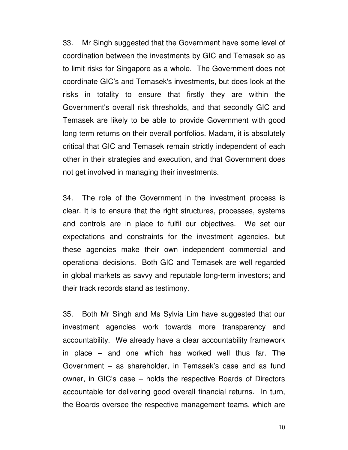33. Mr Singh suggested that the Government have some level of coordination between the investments by GIC and Temasek so as to limit risks for Singapore as a whole. The Government does not coordinate GIC's and Temasek's investments, but does look at the risks in totality to ensure that firstly they are within the Government's overall risk thresholds, and that secondly GIC and Temasek are likely to be able to provide Government with good long term returns on their overall portfolios. Madam, it is absolutely critical that GIC and Temasek remain strictly independent of each other in their strategies and execution, and that Government does not get involved in managing their investments.

34. The role of the Government in the investment process is clear. It is to ensure that the right structures, processes, systems and controls are in place to fulfil our objectives. We set our expectations and constraints for the investment agencies, but these agencies make their own independent commercial and operational decisions. Both GIC and Temasek are well regarded in global markets as savvy and reputable long-term investors; and their track records stand as testimony.

35. Both Mr Singh and Ms Sylvia Lim have suggested that our investment agencies work towards more transparency and accountability. We already have a clear accountability framework in place – and one which has worked well thus far. The Government – as shareholder, in Temasek's case and as fund owner, in GIC's case – holds the respective Boards of Directors accountable for delivering good overall financial returns. In turn, the Boards oversee the respective management teams, which are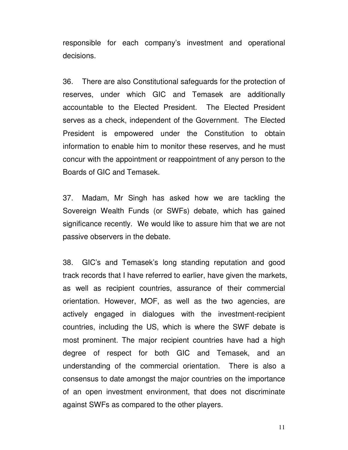responsible for each company's investment and operational decisions.

36. There are also Constitutional safeguards for the protection of reserves, under which GIC and Temasek are additionally accountable to the Elected President. The Elected President serves as a check, independent of the Government. The Elected President is empowered under the Constitution to obtain information to enable him to monitor these reserves, and he must concur with the appointment or reappointment of any person to the Boards of GIC and Temasek.

37. Madam, Mr Singh has asked how we are tackling the Sovereign Wealth Funds (or SWFs) debate, which has gained significance recently. We would like to assure him that we are not passive observers in the debate.

38. GIC's and Temasek's long standing reputation and good track records that I have referred to earlier, have given the markets, as well as recipient countries, assurance of their commercial orientation. However, MOF, as well as the two agencies, are actively engaged in dialogues with the investment-recipient countries, including the US, which is where the SWF debate is most prominent. The major recipient countries have had a high degree of respect for both GIC and Temasek, and an understanding of the commercial orientation. There is also a consensus to date amongst the major countries on the importance of an open investment environment, that does not discriminate against SWFs as compared to the other players.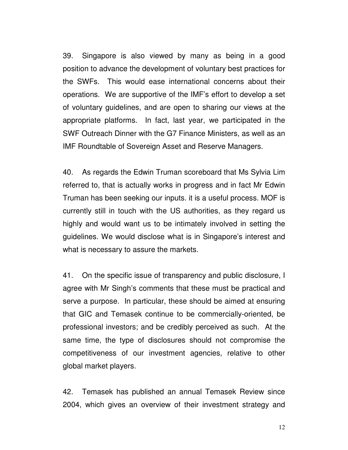39. Singapore is also viewed by many as being in a good position to advance the development of voluntary best practices for the SWFs. This would ease international concerns about their operations. We are supportive of the IMF's effort to develop a set of voluntary guidelines, and are open to sharing our views at the appropriate platforms. In fact, last year, we participated in the SWF Outreach Dinner with the G7 Finance Ministers, as well as an IMF Roundtable of Sovereign Asset and Reserve Managers.

40. As regards the Edwin Truman scoreboard that Ms Sylvia Lim referred to, that is actually works in progress and in fact Mr Edwin Truman has been seeking our inputs. it is a useful process. MOF is currently still in touch with the US authorities, as they regard us highly and would want us to be intimately involved in setting the guidelines. We would disclose what is in Singapore's interest and what is necessary to assure the markets.

41. On the specific issue of transparency and public disclosure, I agree with Mr Singh's comments that these must be practical and serve a purpose. In particular, these should be aimed at ensuring that GIC and Temasek continue to be commercially-oriented, be professional investors; and be credibly perceived as such. At the same time, the type of disclosures should not compromise the competitiveness of our investment agencies, relative to other global market players.

42. Temasek has published an annual Temasek Review since 2004, which gives an overview of their investment strategy and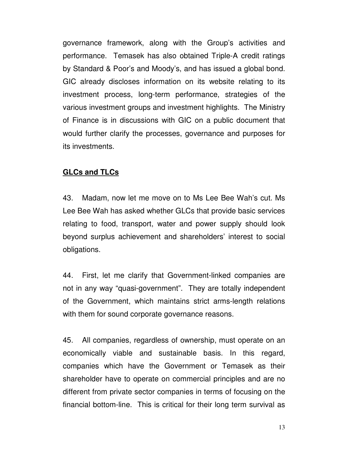governance framework, along with the Group's activities and performance. Temasek has also obtained Triple-A credit ratings by Standard & Poor's and Moody's, and has issued a global bond. GIC already discloses information on its website relating to its investment process, long-term performance, strategies of the various investment groups and investment highlights. The Ministry of Finance is in discussions with GIC on a public document that would further clarify the processes, governance and purposes for its investments.

#### **GLCs and TLCs**

43. Madam, now let me move on to Ms Lee Bee Wah's cut. Ms Lee Bee Wah has asked whether GLCs that provide basic services relating to food, transport, water and power supply should look beyond surplus achievement and shareholders' interest to social obligations.

44. First, let me clarify that Government-linked companies are not in any way "quasi-government". They are totally independent of the Government, which maintains strict arms-length relations with them for sound corporate governance reasons.

45. All companies, regardless of ownership, must operate on an economically viable and sustainable basis. In this regard, companies which have the Government or Temasek as their shareholder have to operate on commercial principles and are no different from private sector companies in terms of focusing on the financial bottom-line. This is critical for their long term survival as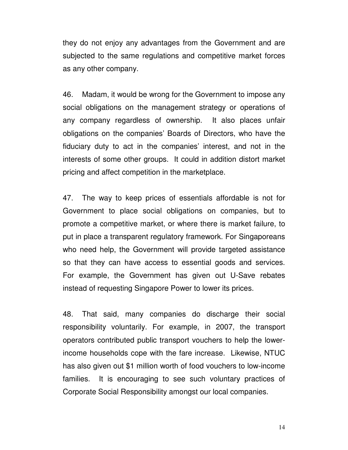they do not enjoy any advantages from the Government and are subjected to the same regulations and competitive market forces as any other company.

46. Madam, it would be wrong for the Government to impose any social obligations on the management strategy or operations of any company regardless of ownership. It also places unfair obligations on the companies' Boards of Directors, who have the fiduciary duty to act in the companies' interest, and not in the interests of some other groups. It could in addition distort market pricing and affect competition in the marketplace.

47. The way to keep prices of essentials affordable is not for Government to place social obligations on companies, but to promote a competitive market, or where there is market failure, to put in place a transparent regulatory framework. For Singaporeans who need help, the Government will provide targeted assistance so that they can have access to essential goods and services. For example, the Government has given out U-Save rebates instead of requesting Singapore Power to lower its prices.

48. That said, many companies do discharge their social responsibility voluntarily. For example, in 2007, the transport operators contributed public transport vouchers to help the lowerincome households cope with the fare increase. Likewise, NTUC has also given out \$1 million worth of food vouchers to low-income families. It is encouraging to see such voluntary practices of Corporate Social Responsibility amongst our local companies.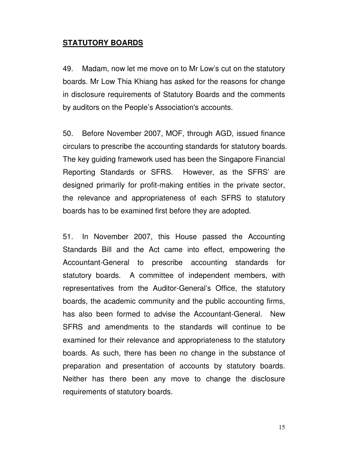## **STATUTORY BOARDS**

49. Madam, now let me move on to Mr Low's cut on the statutory boards. Mr Low Thia Khiang has asked for the reasons for change in disclosure requirements of Statutory Boards and the comments by auditors on the People's Association's accounts.

50. Before November 2007, MOF, through AGD, issued finance circulars to prescribe the accounting standards for statutory boards. The key guiding framework used has been the Singapore Financial Reporting Standards or SFRS. However, as the SFRS' are designed primarily for profit-making entities in the private sector, the relevance and appropriateness of each SFRS to statutory boards has to be examined first before they are adopted.

51. In November 2007, this House passed the Accounting Standards Bill and the Act came into effect, empowering the Accountant-General to prescribe accounting standards for statutory boards. A committee of independent members, with representatives from the Auditor-General's Office, the statutory boards, the academic community and the public accounting firms, has also been formed to advise the Accountant-General. New SFRS and amendments to the standards will continue to be examined for their relevance and appropriateness to the statutory boards. As such, there has been no change in the substance of preparation and presentation of accounts by statutory boards. Neither has there been any move to change the disclosure requirements of statutory boards.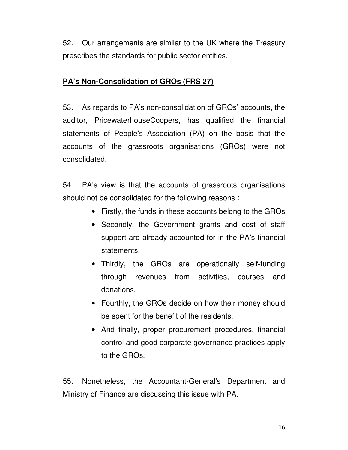52. Our arrangements are similar to the UK where the Treasury prescribes the standards for public sector entities.

## **PA's Non-Consolidation of GROs (FRS 27)**

53. As regards to PA's non-consolidation of GROs' accounts, the auditor, PricewaterhouseCoopers, has qualified the financial statements of People's Association (PA) on the basis that the accounts of the grassroots organisations (GROs) were not consolidated.

54. PA's view is that the accounts of grassroots organisations should not be consolidated for the following reasons :

- Firstly, the funds in these accounts belong to the GROs.
- Secondly, the Government grants and cost of staff support are already accounted for in the PA's financial statements.
- Thirdly, the GROs are operationally self-funding through revenues from activities, courses and donations.
- Fourthly, the GROs decide on how their money should be spent for the benefit of the residents.
- And finally, proper procurement procedures, financial control and good corporate governance practices apply to the GROs.

55. Nonetheless, the Accountant-General's Department and Ministry of Finance are discussing this issue with PA.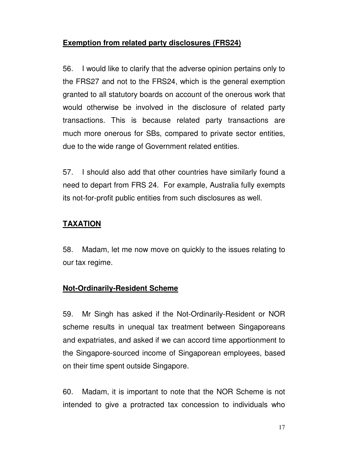# **Exemption from related party disclosures (FRS24)**

56. I would like to clarify that the adverse opinion pertains only to the FRS27 and not to the FRS24, which is the general exemption granted to all statutory boards on account of the onerous work that would otherwise be involved in the disclosure of related party transactions. This is because related party transactions are much more onerous for SBs, compared to private sector entities, due to the wide range of Government related entities.

57. I should also add that other countries have similarly found a need to depart from FRS 24. For example, Australia fully exempts its not-for-profit public entities from such disclosures as well.

# **TAXATION**

58. Madam, let me now move on quickly to the issues relating to our tax regime.

# **Not-Ordinarily-Resident Scheme**

59. Mr Singh has asked if the Not-Ordinarily-Resident or NOR scheme results in unequal tax treatment between Singaporeans and expatriates, and asked if we can accord time apportionment to the Singapore-sourced income of Singaporean employees, based on their time spent outside Singapore.

60. Madam, it is important to note that the NOR Scheme is not intended to give a protracted tax concession to individuals who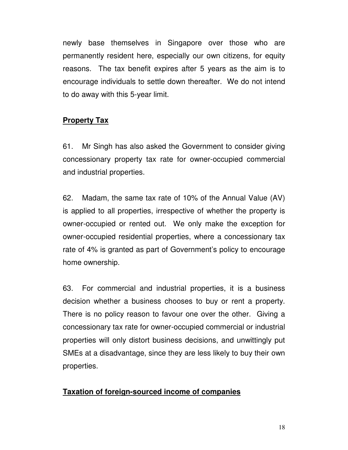newly base themselves in Singapore over those who are permanently resident here, especially our own citizens, for equity reasons. The tax benefit expires after 5 years as the aim is to encourage individuals to settle down thereafter. We do not intend to do away with this 5-year limit.

## **Property Tax**

61. Mr Singh has also asked the Government to consider giving concessionary property tax rate for owner-occupied commercial and industrial properties.

62. Madam, the same tax rate of 10% of the Annual Value (AV) is applied to all properties, irrespective of whether the property is owner-occupied or rented out. We only make the exception for owner-occupied residential properties, where a concessionary tax rate of 4% is granted as part of Government's policy to encourage home ownership.

63. For commercial and industrial properties, it is a business decision whether a business chooses to buy or rent a property. There is no policy reason to favour one over the other. Giving a concessionary tax rate for owner-occupied commercial or industrial properties will only distort business decisions, and unwittingly put SMEs at a disadvantage, since they are less likely to buy their own properties.

### **Taxation of foreign-sourced income of companies**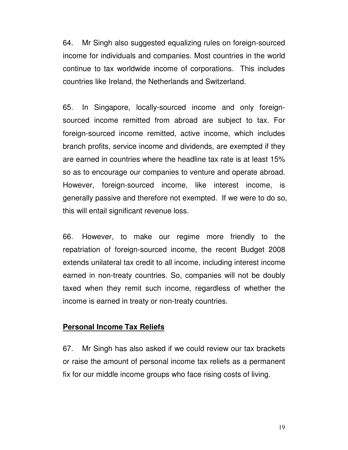64. Mr Singh also suggested equalizing rules on foreign-sourced income for individuals and companies. Most countries in the world continue to tax worldwide income of corporations. This includes countries like Ireland, the Netherlands and Switzerland.

65. In Singapore, locally-sourced income and only foreignsourced income remitted from abroad are subject to tax. For foreign-sourced income remitted, active income, which includes branch profits, service income and dividends, are exempted if they are earned in countries where the headline tax rate is at least 15% so as to encourage our companies to venture and operate abroad. However, foreign-sourced income, like interest income, is generally passive and therefore not exempted. If we were to do so, this will entail significant revenue loss.

66. However, to make our regime more friendly to the repatriation of foreign-sourced income, the recent Budget 2008 extends unilateral tax credit to all income, including interest income earned in non-treaty countries. So, companies will not be doubly taxed when they remit such income, regardless of whether the income is earned in treaty or non-treaty countries.

#### **Personal Income Tax Reliefs**

67. Mr Singh has also asked if we could review our tax brackets or raise the amount of personal income tax reliefs as a permanent fix for our middle income groups who face rising costs of living.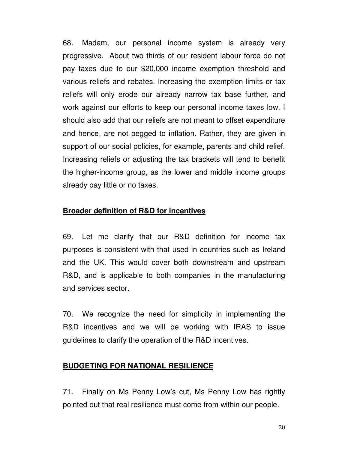68. Madam, our personal income system is already very progressive. About two thirds of our resident labour force do not pay taxes due to our \$20,000 income exemption threshold and various reliefs and rebates. Increasing the exemption limits or tax reliefs will only erode our already narrow tax base further, and work against our efforts to keep our personal income taxes low. I should also add that our reliefs are not meant to offset expenditure and hence, are not pegged to inflation. Rather, they are given in support of our social policies, for example, parents and child relief. Increasing reliefs or adjusting the tax brackets will tend to benefit the higher-income group, as the lower and middle income groups already pay little or no taxes.

#### **Broader definition of R&D for incentives**

69. Let me clarify that our R&D definition for income tax purposes is consistent with that used in countries such as Ireland and the UK. This would cover both downstream and upstream R&D, and is applicable to both companies in the manufacturing and services sector.

70. We recognize the need for simplicity in implementing the R&D incentives and we will be working with IRAS to issue guidelines to clarify the operation of the R&D incentives.

#### **BUDGETING FOR NATIONAL RESILIENCE**

71. Finally on Ms Penny Low's cut, Ms Penny Low has rightly pointed out that real resilience must come from within our people.